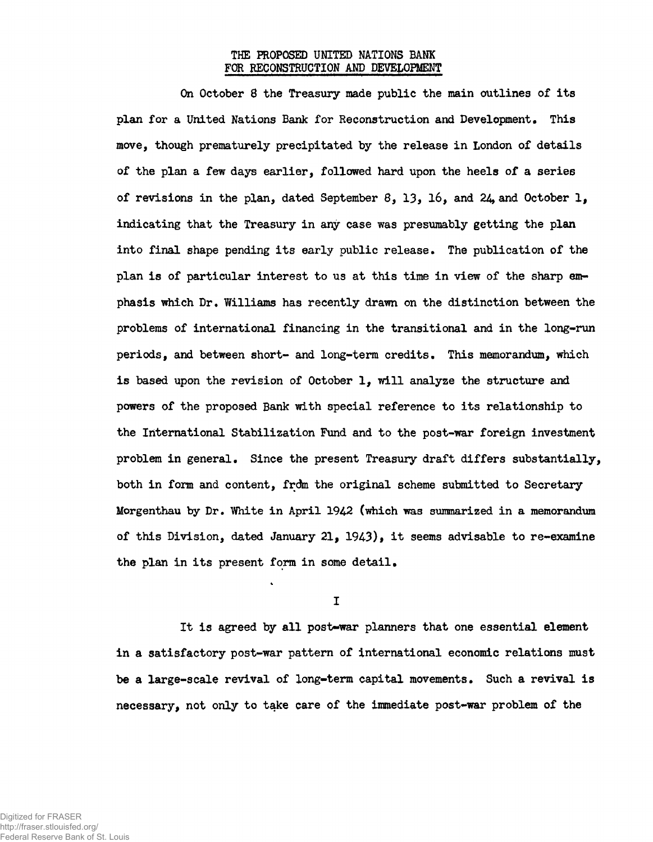## **THE PROPOSED UNITED NATIONS BANK FOR RECONSTRUCTION AND DEVELOPMENT**

**On October 8 the Treasury made public the main outlines of its** plan for a United Nations Bank for Reconstruction and Development. This **move, though prematurely precipitated by the release in London of details of the plan a few days earlier, followed hard upon the heels of a series of revisions in the plan, dated September 8, 13\* 16, and 24\* and October 1, indicating that the Treasury in any case was presumably getting the plan into final shape pending its early public release• The publication of the plan is of particular interest to us at this time in view of the sharp emphasis which Dr. Williams has recently drawn on the distinction between the problems of international financing in the transitional and in the long-run periods, and between short- and long-term credits\* This memorandum, which is based upon the revision of October 1, will analyze the structure and powers of the proposed Bank with special reference to its relationship to the International Stabilization Fund and to the post-war foreign investment problem in general. Since the present Treasury draft differs substantially, both in form and content, frdm the original scheme submitted to Secretary** Morgenthau by Dr. White in April 1942 (which was summarized in a memorandum of this Division, dated January 21, 1943), it seems advisable to re-examine **the plan in its present form in some detail,**

**I**

**It is agreed by all post-war planners that one essential element in a satisfactory post-war pattern of international economic relations must be a large-scale revival of long-term capital movements» Such a revival is necessary, not only to take care of the immediate post-war problem of the**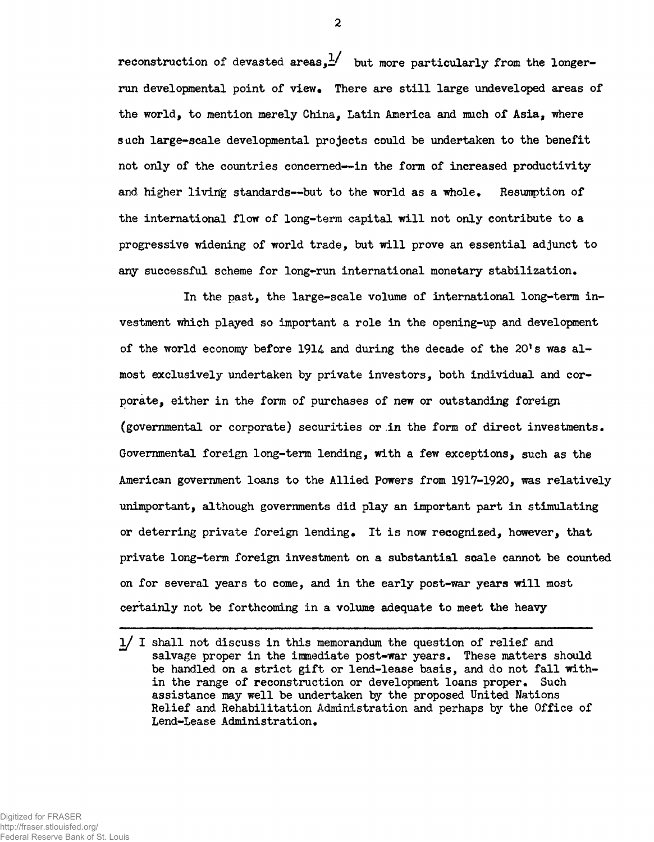reconstruction of devasted areas,  $\frac{1}{2}$  but more particularly from the longerrun developmental point of view. There are still large undeveloped areas of the world, to mention merely China, Latin America and much of Asia, where such large-scale developmental projects could be undertaken to the benefit not only of the countries concerned—in the form of increased productivity and higher living standards—but to the world as a whole. Resumption of the international flow of long-term capital will not only contribute to a progressive widening of world trade, but will prove an essential adjunct to any successful scheme for long-run international monetary stabilization.

In the past, the large-scale volume of international long-term investment which played so important a role in the opening-up and development of the world economy before 1914 and during the decade of the  $20's$  was almost exclusively undertaken by private investors, both individual and corporate, either in the form of purchases of new or outstanding foreign (governmental or corporate) securities or in the form of direct investments. Governmental foreign long-term lending, with a few exceptions, such as the American government loans to the Allied Powers from 1917-1920, was relatively unimportant, although governments did play an important part in stimulating or deterring private foreign lending• It is now recognized, however, that private long-term foreign investment on a substantial scale cannot be counted on for several years to come, and in the early post-war years will most certainly not be forthcoming in a volume adequate to meet the heavy

<sup>1/</sup> I shall not discuss in this memorandum the question of relief and salvage proper in the immediate post-war years. These matters should be handled on a strict gift or lend-lease basis, and do not fall within the range of reconstruction or development loans proper. Such assistance may well be undertaken by the proposed United Nations Relief and Rehabilitation Administration and perhaps by the Office of Lend-Lease Administration.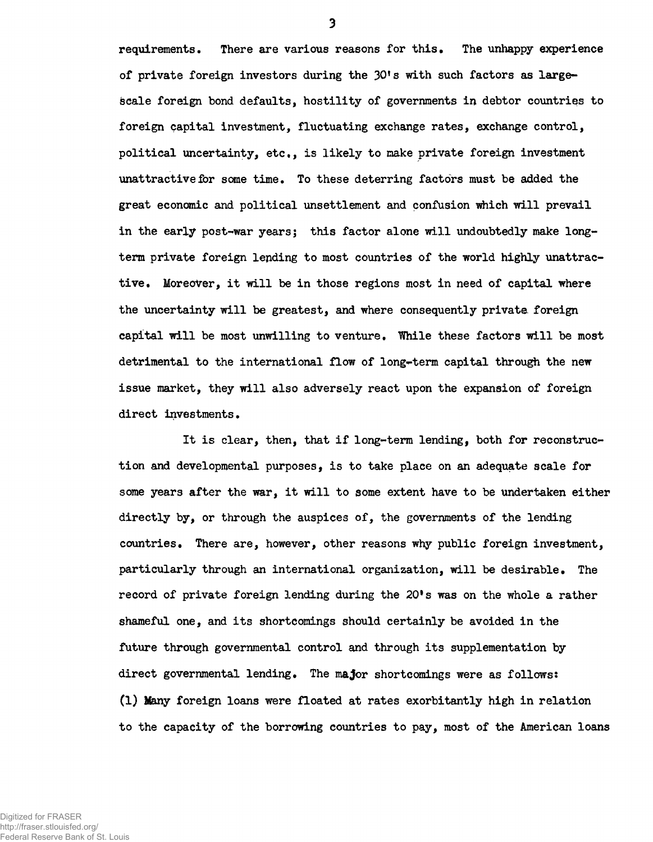requirements. There are various reasons for this. The unhappy experience of private foreign investors during the 30!s with such factors as largescale foreign bond defaults, hostility of governments in debtor countries to foreign capital investment, fluctuating exchange rates, exchange control, political uncertainty, etc., is likely to make private foreign investment unattractive for some time. To these deterring factors must be added the great economic and political unsettlement and confusion which will prevail in the early post-war years; this factor alone will undoubtedly make longterm private foreign lending to most countries of the world highly unattractive. Moreover, it will be in those regions most in need of capital where the uncertainty will be greatest, and where consequently private foreign capital will be most unwilling to venture. While these factors will be most detrimental to the international flow of long-term capital through the new issue market, they will also adversely react upon the expansion of foreign direct investments.

It is clear, then, that if long-term lending, both for reconstruction and developmental purposes, is to take place on an adequate scale for some years after the war, it will to some extent have to be undertaken either directly by, or through the auspices of, the governments of the lending countries• There are, however, other reasons why public foreign investment, particularly through an international organization, will be desirable. The record of private foreign lending during the 20's was on the whole a rather shameful one, and its shortcomings should certainly be avoided in the future through governmental control and through its supplementation by direct governmental lending. The major shortcomings were as follows: (1) Many foreign loans were floated at rates exorbitantly high in relation to the capacity of the borrowing countries to pay, most of the American loans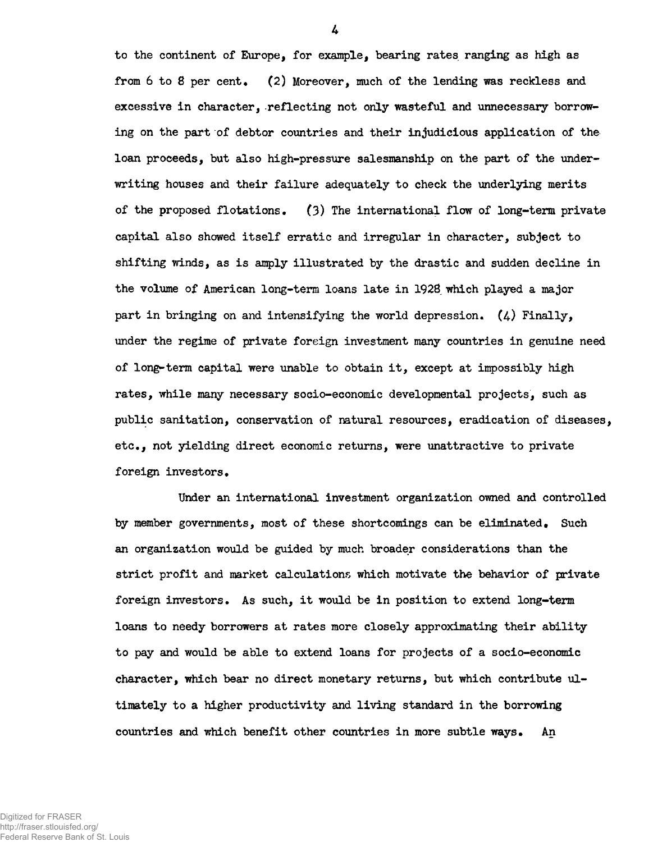to the continent of Europe, for example, bearing rates ranging as high as from 6 to 8 per cent. (2) Moreover, much of the lending was reckless and excessive in character, reflecting not only wasteful and unnecessary borrowing on the part of debtor countries and their injudicious application of the loan proceeds, but also high-pressure salesmanship on the part of the underwriting houses and their failure adequately to check the underlying merits of the proposed flotations.  $(3)$  The international flow of long-term private capital also showed itself erratic and irregular in character, subject to shifting winds, as is amply illustrated by the drastic and sudden decline in the volume of American long-term loans late in 1928 which played a major part in bringing on and intensifying the world depression.  $(4)$  Finally, under the regime of private foreign investment many countries in genuine need of long-term capital were unable to obtain it, except at impossibly high rates, while many necessary socio-economic developmental projects, such as public sanitation, conservation of natural resources, eradication of diseases, etc., not yielding direct economic returns, were unattractive to private foreign investors.

Under an international investment organization owned and controlled by member governments, most of these shortcomings can be eliminated. Such an organization would be guided by much broader considerations than the strict profit and market calculations which motivate the behavior of private foreign investors. As such, it would be in position to extend long-term loans to needy borrowers at rates more closely approximating their ability to pay and would be able to extend loans for projects of a socio-economic character, which bear no direct monetary returns, but which contribute ultimately to a higher productivity and living standard in the borrowing countries and which benefit other countries in more subtle ways. An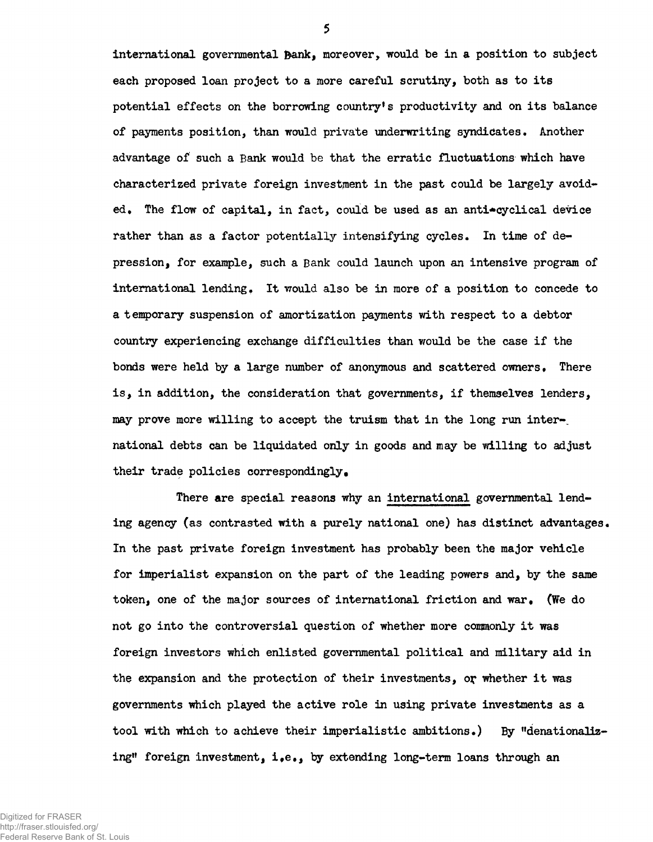international governmental Bank, moreover, would be in a position to subject each proposed loan project to a more careful scrutiny, both as to its potential effects on the borrowing country's productivity and on its balance of payments position, than would private underwriting syndicates. Another advantage of such a Bank would be that the erratic fluctuations which have characterized private foreign investment in the past could be largely avoided. The flow of capital, in fact, could be used as an anti-cyclical device rather than as a factor potentially intensifying cycles. In time of depression, for example, such a Bank could launch upon an intensive program of international lending. It would also be in more of a position to concede to a temporary suspension of amortization payments with respect to a debtor country experiencing exchange difficulties than would be the case if the bonds were held by a large number of anonymous and scattered owners. There is, in addition, the consideration that governments, if themselves lenders, may prove more willing to accept the truism that in the long run international debts can be liquidated only in goods and may be willing to adjust their trade policies correspondingly.

There are special reasons why an international governmental lending agency (as contrasted with a purely national one) has distinct advantages. In the past private foreign investment has probably been the major vehicle for imperialist expansion on the part of the leading powers and, by the same token, one of the major sources of international friction and war. (We do not go into the controversial question of whether more commonly it was foreign investors which enlisted governmental political and military aid in the expansion and the protection of their investments, or whether it was governments which played the active role in using private investments as a tool with which to achieve their imperialistic ambitions.) By "denationalizing" foreign investment, i.e., by extending long-term loans through an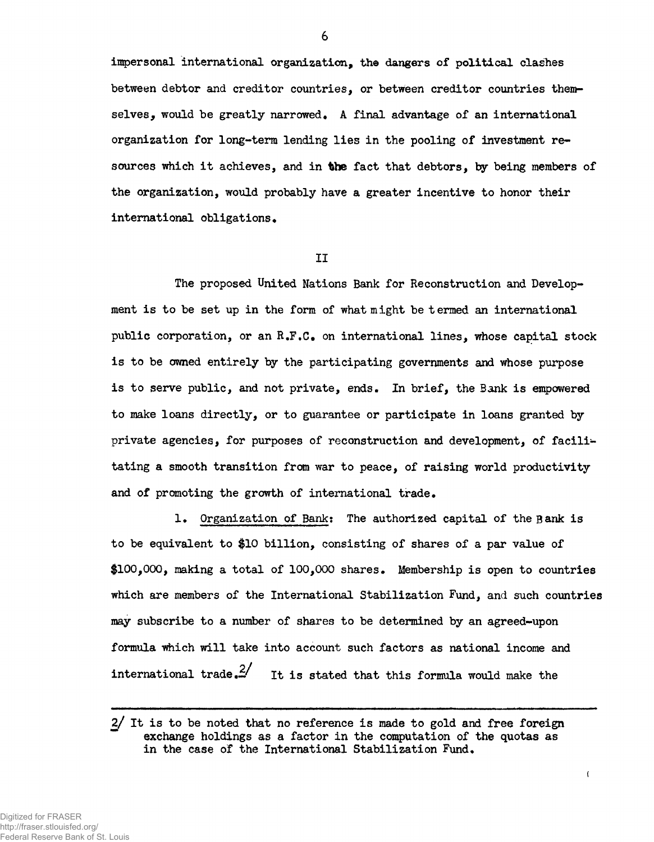impersonal international organization, the dangers of political clashes between debtor and creditor countries, or between creditor countries themselves, would be greatly narrowed. A final advantage of an international organization for long-term lending lies in the pooling of investment resources which it achieves, and in **the** fact that debtors, by being members of the organization, would probably have a greater incentive to honor their international obligations.

**II**

The proposed United Nations Bank for Reconstruction and Development is to be set up in the form of what might be termed an international public corporation, or an R.F.C. on international lines, whose capital stock is to be owned entirely by the participating governments and whose purpose is to serve public, and not private, ends. In brief, the Bank is empowered to make loans directly, or to guarantee or participate in loans granted by private agencies, for purposes of reconstruction and development, of facilitating a smooth transition from war to peace, of raising world productivity and of promoting the growth of international trade.

1» Organization of Bank: The authorized capital of the Bank is to be equivalent to \$10 billion, consisting of shares of a par value of  $$100,000$ , making a total of  $100,000$  shares. Membership is open to countries which are members of the International Stabilization Fund, and such countries may subscribe to a number of shares to be determined by an agreed-upon formula which will take into account such factors as national income and international trade.  $\frac{2}{3}$  It is stated that this formula would make the

 $\langle$ 

Digitized for FRASER http://fraser.stlouisfed.org/ Federal Reserve Bank of St. Louis

<sup>2/</sup> It is to be noted that no reference is made to gold and free foreign exchange holdings as a factor in the computation of the quotas as in the case of the International Stabilization Fund.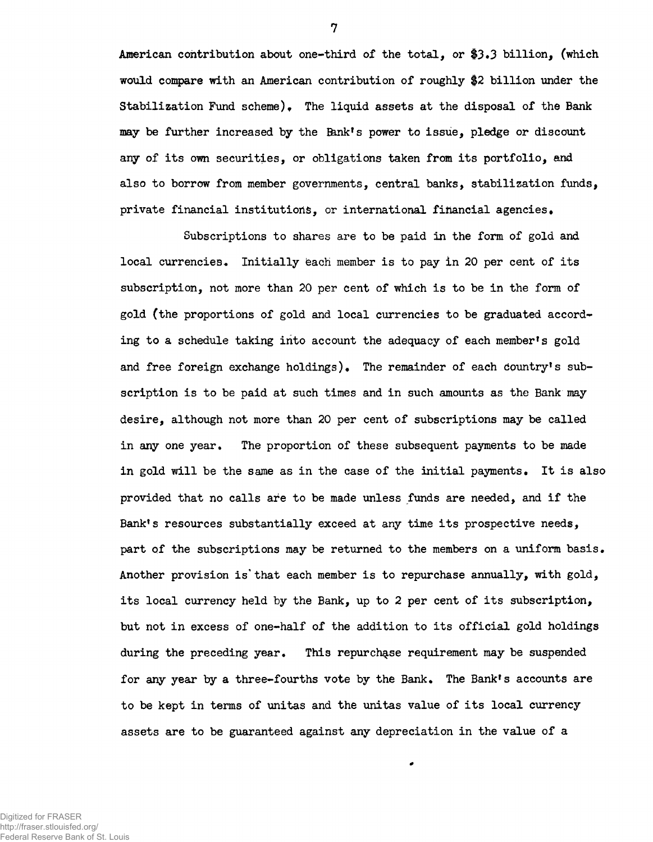American contribution about one-third of the total, or  $$3.3$  billion, (which would compare with an American contribution of roughly \$2 billion under the Stabilization Fund scheme). The liquid assets at the disposal of the Bank may be further increased by the Bank's power to issue, pledge or discount any of its own securities, or obligations taken from its portfolio, and also to borrow from member governments, central banks, stabilization funds, private financial institutions, or international financial agencies»

Subscriptions to shares are to be paid in the form of gold and local currencies. Initially each member is to pay in 20 per cent of its subscription, not more than 20 per cent of which is to be in the form of gold (the proportions of gold and local currencies to be graduated according to a schedule taking into account the adequacy of each member's gold and free foreign exchange holdings). The remainder of each country's subscription is to be paid at such times and in such amounts as the Bank may desire, although not more than 20 per cent of subscriptions may be called in any one year. The proportion of these subsequent payments to be made in gold will be the same as in the case of the initial payments. It is also provided that no calls are to be made unless funds are needed, and if the Bank's resources substantially exceed at any time its prospective needs, part of the subscriptions may be returned to the members on a uniform basis. Another provision is that each member is to repurchase annually, with  $gold,$ its local currency held by the Bank, up to 2 per cent of its subscription, but not in excess of one-half of the addition to its official gold holdings during the preceding year. This repurchase requirement may be suspended for any year by a three-fourths vote by the Bank. The Bank's accounts are to be kept in terms of unitas and the unitas value of its local currency assets are to be guaranteed against any depreciation in the value of a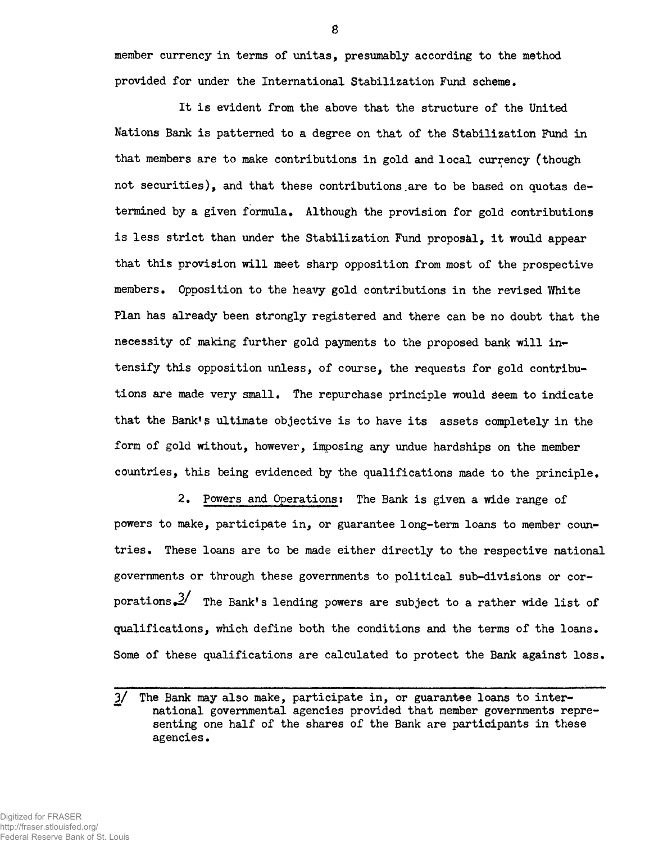member currency in terms of unitas, presumably according to the method provided for under the International Stabilization Fund scheme.

It is evident from the above that the structure of the United Nations Bank is patterned to a degree on that of the Stabilization Fund in that members are to make contributions in gold and local currency (though not securities), and that these contributions.are to be based on quotas determined by a given formula. Although the provision for gold contributions is less strict than under the Stabilization Fund proposal, it would appear that this provision will meet sharp opposition from most of the prospective members. Opposition to the heavy gold contributions in the revised White Plan has already been strongly registered and there can be no doubt that the necessity of making further gold payments to the proposed bank will intensify this opposition unless, of course, the requests for gold contributions are made very small. The repurchase principle would seem to indicate that the Bank's ultimate objective is to have its assets completely in the form of gold without, however, imposing any undue hardships on the member countries, this being evidenced by the qualifications made to the principle\*

2. Powers and Operations; The Bank is given a wide range of powers to make, participate in, or guarantee long-term loans to member countries. These loans are to be made either directly to the respective national governments or through these governments to political sub-divisions or corporations. $\frac{3}{ }$  The Bank's lending powers are subject to a rather wide list of qualifications, which define both the conditions and the terms of the loans. Some of these qualifications are calculated to protect the Bank against loss.

<sup>3/</sup> The Bank may also make, participate in, or guarantee loans to inter national governmental agencies provided that member governments representing one half of the shares of the Bank are participants in these agencies.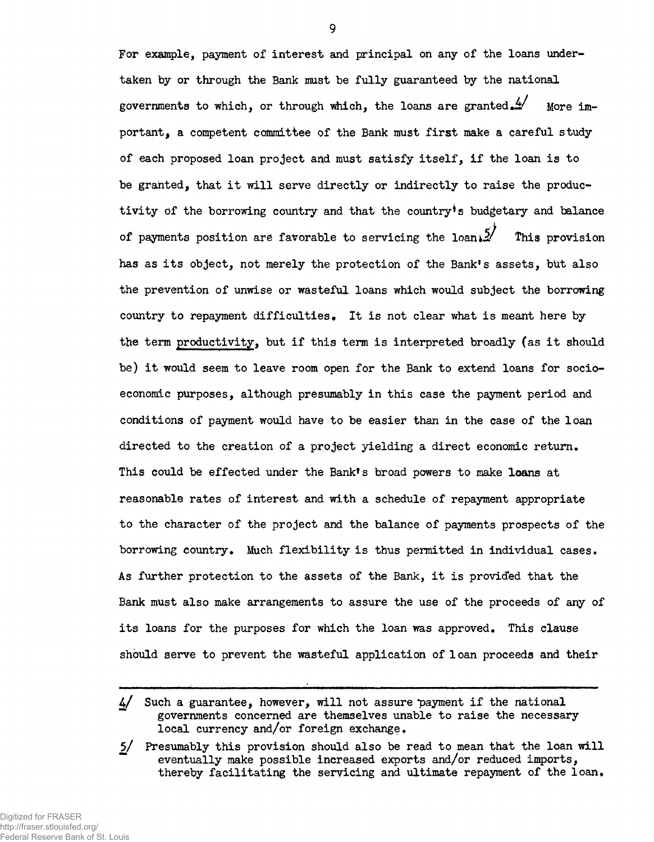For example, payment of interest and principal on any of the loans undertaken by or through the Bank must be fully guaranteed by the national governments to which, or through which, the loans are granted.  $\frac{4}{2}$  More important, a competent committee of the Bank must first make a careful study of each proposed loan project and must satisfy itself, if the loan is to be granted, that it will serve directly or indirectly to raise the productivity of the borrowing country and that the country's budgetary and balance of payments position are favorable to servicing the loans  $\frac{5}{10}$  This provision has as its object, not merely the protection of the Bank's assets, but also the prevention of unwise or wasteful loans which would subject the borrowing country to repayment difficulties. It is not clear what is meant here by the term productivity, but if this term is interpreted broadly (as it should be) it would seem to leave room open for the Bank to extend loans for socioeconomic purposes, although presumably in this case the payment period and conditions of payment would have to be easier than in the case of the loan directed to the creation of a project yielding a direct economic return. This could be effected under the Bank's broad powers to make loans at reasonable rates of interest and with a schedule of repayment appropriate to the character of the project and the balance of payments prospects of the borrowing country. Much flexibility is thus permitted in individual cases. As further protection to the assets of the Bank, it is provided that the Bank must also make arrangements to assure the use of the proceeds of any of its loans for the purposes for which the loan was approved. This clause should serve to prevent the wasteful application of loan proceeds and their

 $4/$  Such a guarantee, however, will not assure payment if the national governments concerned are themselves unable to raise the necessary local currency and/or foreign exchange.

<sup>5/</sup> Presumably this provision should also be read to mean that the loan will eventually make possible increased exports and/or reduced imports, thereby facilitating the servicing and ultimate repayment of the loan.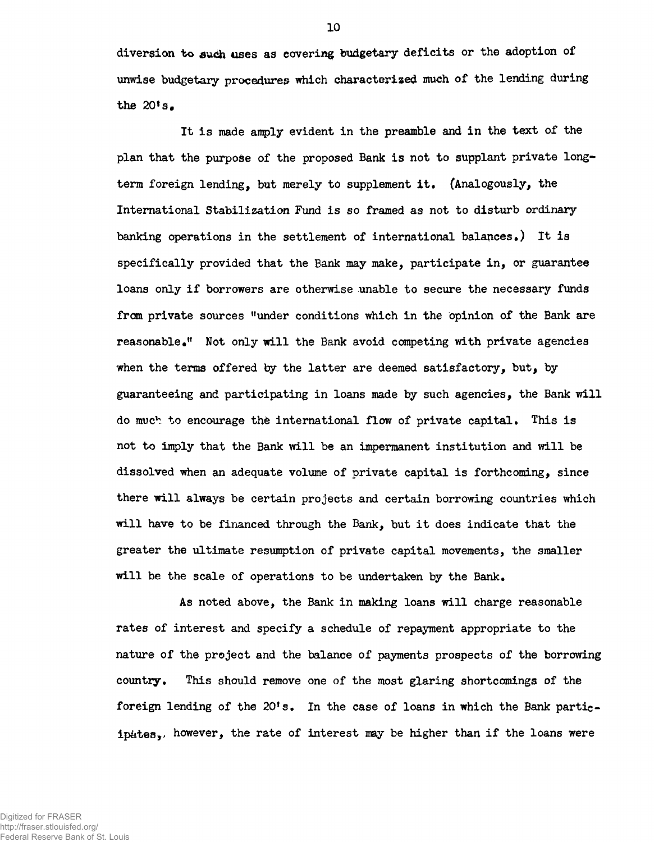diversion to such uses as covering budgetary deficits or the adoption of unwise budgetary procedures which characterized much of the lending during the  $20$ <sup>t</sup>s.

It is made amply evident in the preamble and in the text of the plan that the purpose of the proposed Bank is not to supplant private longterm foreign lending, but merely to supplement it. (Analogously, the International Stabilization Fund is so framed as not to disturb ordinary banking operations in the settlement of international balances.) It is specifically provided that the Bank may make, participate in, or guarantee loans only if borrowers are otherwise unable to secure the necessary funds from private sources "under conditions which in the opinion of the Bank are reasonable•" Not only will the Bank avoid competing with private agencies when the terms offered by the latter are deemed satisfactory, but, by guaranteeing and participating in loans made by such agencies, the Bank will do much to encourage the international flow of private capital. This is not to imply that the Bank will be an impermanent institution and will be dissolved when an adequate volume of private capital is forthcoming, since there will always be certain projects and certain borrowing countries which will have to be financed through the Bank, but it does indicate that the greater the ultimate resumption of private capital movements, the smaller will be the scale of operations to be undertaken by the Bank.

As noted above, the Bank in making loans will charge reasonable rates of interest and specify a schedule of repayment appropriate to the nature of the project and the balance of payments prospects of the borrowing country. This should remove one of the most glaring shortcomings of the foreign lending of the 20\*s. In the case of loans in which the Bank participates,, however, the rate of interest may be higher than if the loans were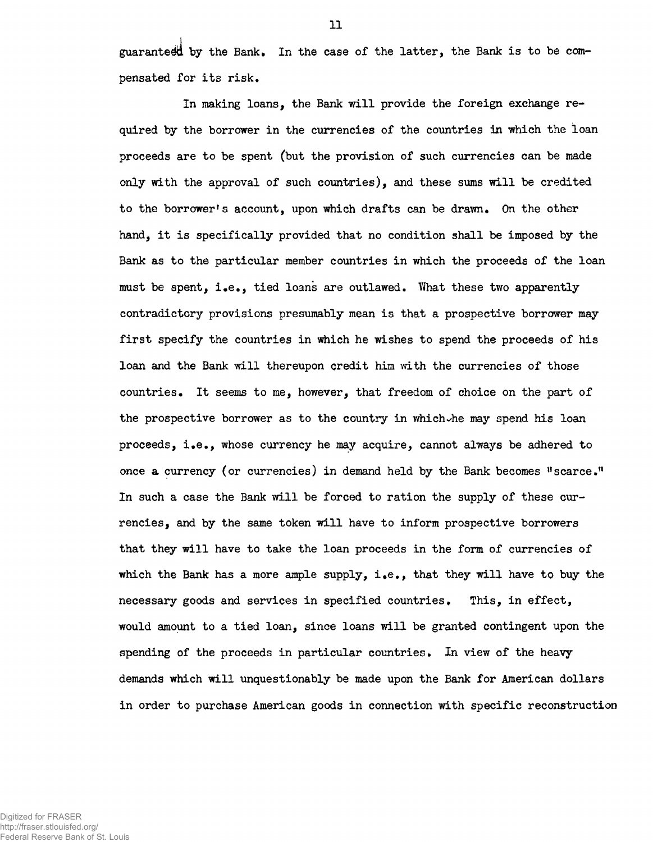guaranted by the Bank. In the case of the latter, the Bank is to be compensated for its risk.

In making loans, the Bank will provide the foreign exchange required by the borrower in the currencies of the countries in which the loan proceeds are to be spent (but the provision of such currencies can be made only with the approval of such countries), and these sums will be credited to the borrower's account, upon which drafts can be drawn. On the other hand, it is specifically provided that no condition shall be imposed by the Bank as to the particular member countries in which the proceeds of the loan must be spent, i.e., tied loans are outlawed, "What these two apparently contradictory provisions presumably mean is that a prospective borrower may first specify the countries in which he wishes to spend the proceeds of his loan and the Bank will thereupon credit him with the currencies of those countries. It seems to me, however, that freedom of choice on the part of the prospective borrower as to the country in which-he may spend his loan proceeds, i.e., whose currency he may acquire, cannot always be adhered to once a currency (or currencies) in demand held by the Bank becomes  $"$ scarce." In such a case the Bank will be forced to ration the supply of these currencies, and by the same token will have to inform prospective borrowers that they will have to take the loan proceeds in the form of currencies of which the Bank has a more ample supply, i.e., that they will have to buy the necessary goods and services in specified countries. This, in effect, would amount to a tied loan, since loans will be granted contingent upon the spending of the proceeds in particular countries. In view of the heavy demands which will unquestionably be made upon the Bank for American dollars in order to purchase American goods in connection with specific reconstruction

Federal Reserve Bank of St. Louis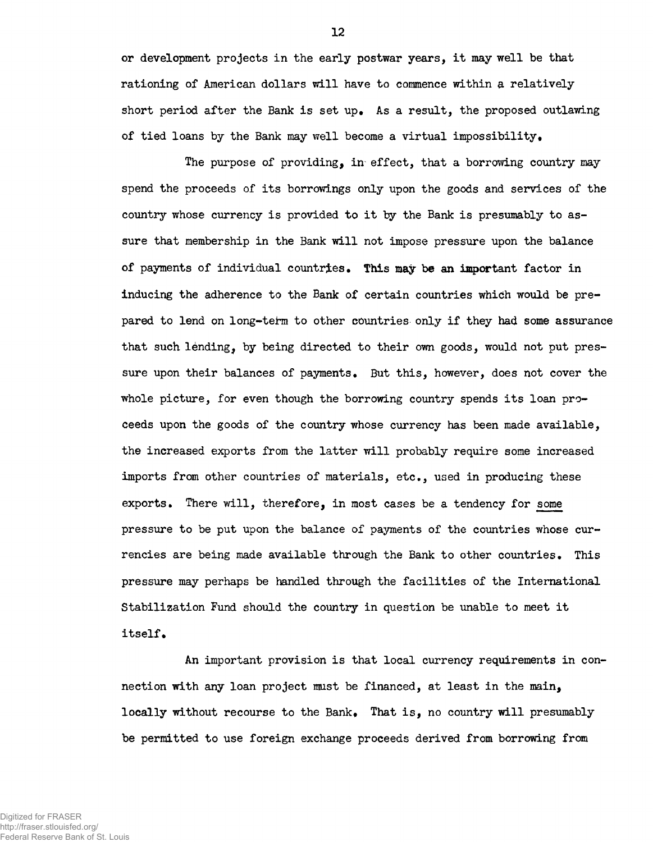or development projects in the early postwar years, it may well be that rationing of American dollars will have to commence within a relatively short period after the Bank is set up. As a result, the proposed outlawing of tied loans by the Bank may well become a virtual impossibility•

The purpose of providing, in effect, that a borrowing country may spend the proceeds of its borrowings only upon the goods and services of the country whose currency is provided to it by the Bank is presumably to assure that membership in the Bank will not impose pressure upon the balance of payments of individual countries. This may be an important factor in inducing the adherence to the Bank of certain countries which would be prepared to lend on long-teftn to other countries only if they had some assurance that such lending, by being directed to their own goods, would not put pressure upon their balances of payments. But this, however, does not cover the whole picture, for even though the borrowing country spends its loan proceeds upon the goods of the country whose currency has been made available, the increased exports from the latter will probably require some increased imports from other countries of materials, etc., used in producing these exports. There will, therefore, in most cases be a tendency for some pressure to be put upon the balance of payments of the countries whose currencies are being made available through the Bank to other countries. This pressure may perhaps be handled through the facilities of the International Stabilization Fund should the country in question be unable to meet it itself•

An important provision is that local currency requirements in connection with any loan project must be financed, at least in the main, locally without recourse to the Bank. That is, no country will presumably be permitted to use foreign exchange proceeds derived from borrowing from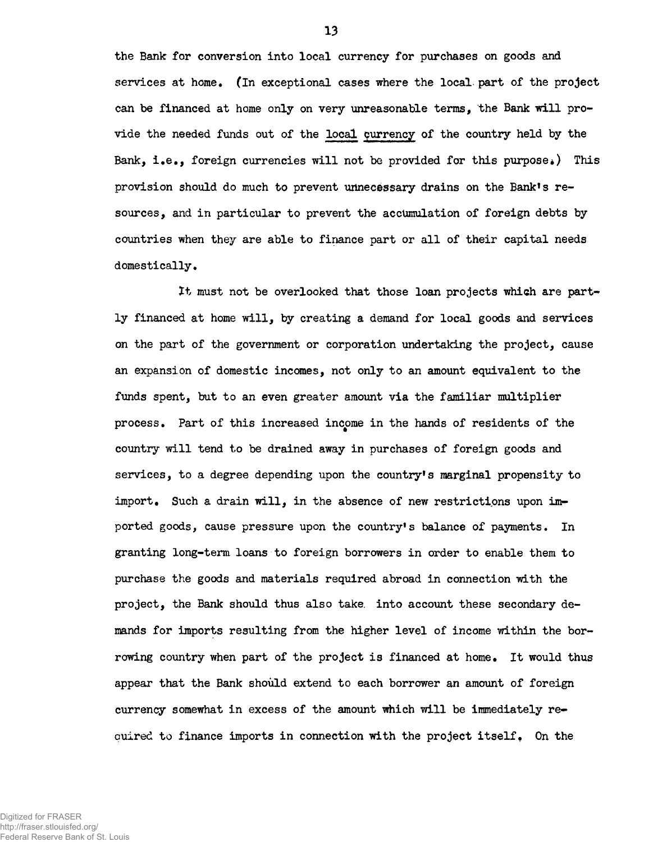the Bank for conversion into local currency for purchases on goods and services at home. (In exceptional cases where the local part of the project can be financed at home only on very unreasonable terms, the Bank will provide the needed funds out of the local currency of the country held by the Bank, i.e., foreign currencies will not be provided for this purpose.) This provision should do much to prevent unnecessary drains on the Bank's resources, and in particular to prevent the accumulation of foreign debts by countries when they are able to finance part or all of their capital needs domestically.

It must not be overlooked that those loan projects which are partly financed at home will, by creating a demand for local goods and services on the part of the government or corporation undertaking the project, cause an expansion of domestic incomes, not only to an amount equivalent to the funds spent, but to an even greater amount via the familiar multiplier process. Part of this increased income in the hands of residents of the country will tend to be drained away in purchases of foreign goods and services, to a degree depending upon the country's marginal propensity to import. Such a drain will, in the absence of new restrictions upon imported goods, cause pressure upon the country's balance of payments. In granting long-term loans to foreign borrowers in order to enable them to purchase the goods and materials required abroad in connection with the project, the Bank should thus also take, into account these secondary demands for imports resulting from the higher level of income within the borrowing country when part of the project is financed at home. It would thus appear that the Bank should extend to each borrower an amount of foreign currency somewhat in excess of the amount which will be immediately re-\* cuired to finance imports in connection with the project itself. On the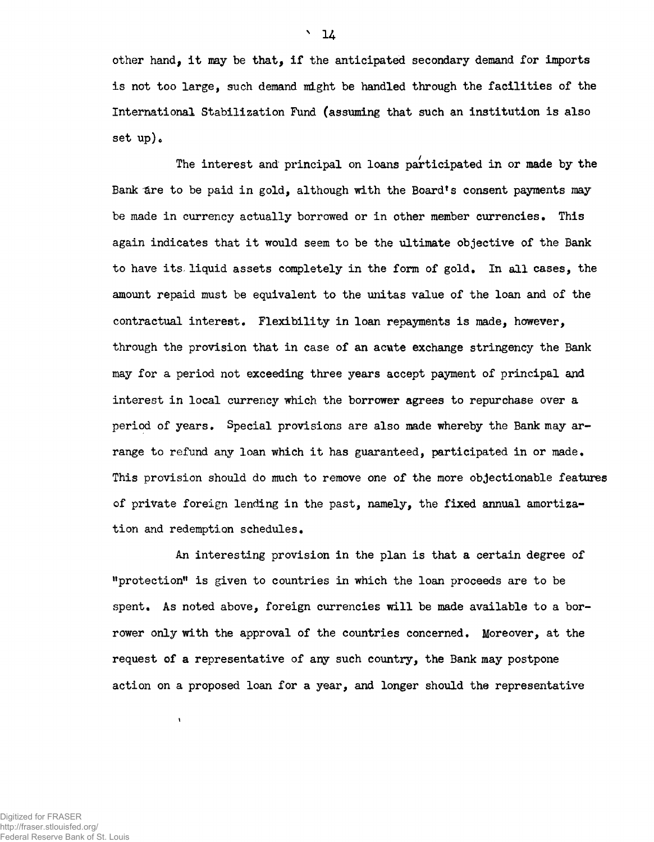other hand, it may be that, if the anticipated secondary demand for imports is not too large, such demand might be handled through the facilities of the International Stabilization Fund (assuming that such an institution is also set  $up$ ).

The interest and principal on loans participated in or made by the Bank are to be paid in gold, although with the Board's consent payments may be made in currency actually borrowed or in other member currencies. This again indicates that it would seem to be the ultimate objective of the Bank to have its. liquid assets completely in the form of gold. In all cases, the amount repaid must be equivalent to the unitas value of the loan and of the contractual interest. Flexibility in loan repayments is made, however, through the provision that in case of an acute exchange stringency the Bank may for a period not exceeding three years accept payment of principal and interest in local currency which the borrower agrees to repurchase over a period of years. Special provisions are also made whereby the Bank may arrange to refund any loan which it has guaranteed, participated in or made. This provision should do much to remove one of the more objectionable features of private foreign lending in the past, namely, the fixed annual amortization and redemption schedules.

An interesting provision in the plan is that a certain degree of "protection" is given to countries in which the loan proceeds are to be spent. As noted above, foreign currencies will be made available to a borrower only with the approval of the countries concerned. Moreover, at the request of a representative of any such country, the Bank may postpone action on a proposed loan for a year, and longer should the representative

 $\pmb{\mathfrak{t}}$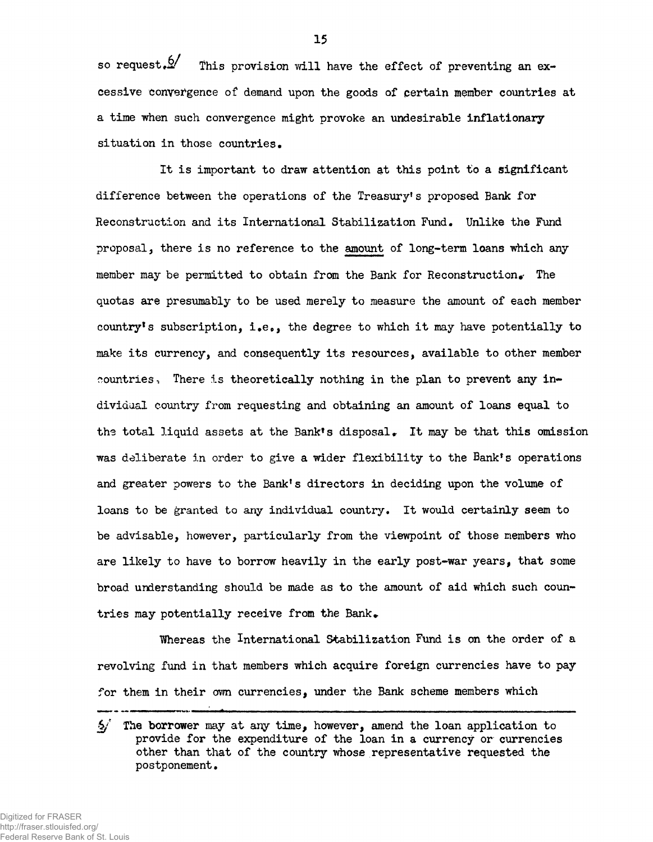so request.  $\mathcal{D}'$  This provision will have the effect of preventing an excessive convergence of demand upon the goods of certain member countries at a time when such convergence might provoke an undesirable inflationary situation in those countries.

It is important to draw attention at this point to a significant difference between the operations of the Treasury's proposed Bank for Reconstruction and its International Stabilization Fund, Unlike the Fund proposal, there is no reference to the amount of long-term loans which any member may be permitted to obtain from the Bank for Reconstruction. The quotas are presumably to be used merely to measure the amount of each member country's subscription, i.e., the degree to which it may have potentially to make its currency, and consequently its resources, available to other member countries, There is theoretically nothing in the plan to prevent any individaal country from requesting and obtaining an amount of loans equal to the total liquid assets at the Bank's disposal. It may be that this omission was deliberate in order to give a wider flexibility to the Bank's operations and greater powers to the Bank's directors in deciding upon the volume of loans to be granted to any individual country. It would certainly seem to be advisable, however, particularly from the viewpoint of those members who are likely to have to borrow heavily in the early post-war years, that some broad understanding should be made as to the amount of aid which such countries may potentially receive from the Bank.

Whereas the International Stabilization Fund is on the order of a revolving fund in that members which acquire foreign currencies have to pay for them in their own currencies, under the Bank scheme members which

 $/$  The borrower may at any time, however, amend the loan application to provide for the expenditure of the loan in a currency or currencies other than that of the country whose representative requested the postponement.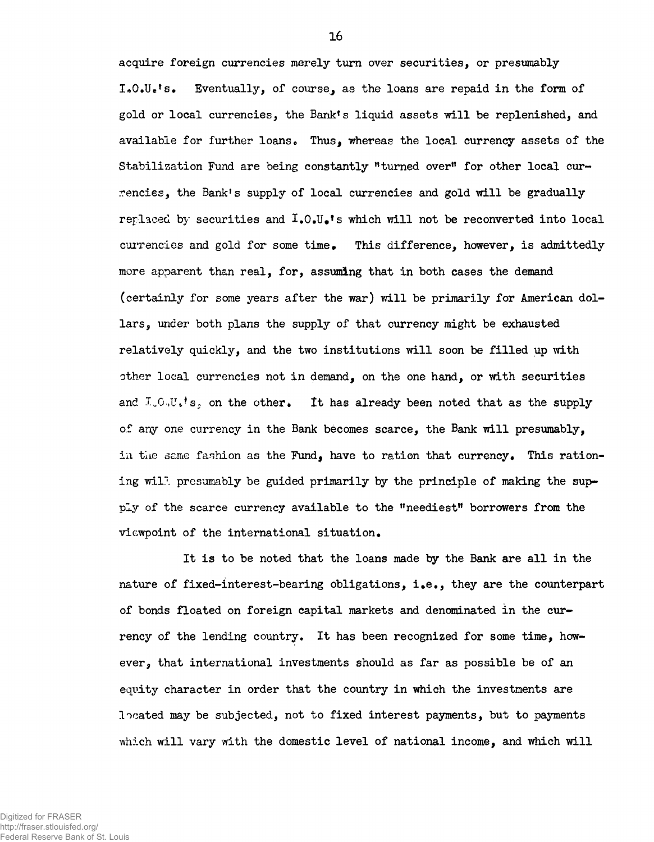acquire foreign currencies merely turn over securities, or presumably  $I_{\bullet}O_{\bullet}U_{\bullet}$ 's. Eventually, of course, as the loans are repaid in the form of gold or local currencies, the Bank's liquid assets will be replenished, and available for further loans. Thus, whereas the local currency assets of the Stabilization Fund are being constantly "turned over" for other local currencies, the Bank!s supply of local currencies and gold will be gradually replaced by securities and  $I_{\bullet}0_{\bullet}U_{\bullet}$ 's which will not be reconverted into local currencies and gold for some time. This difference, however, is admittedly more apparent than real, for, assuming that in both cases the demand (certainly for some years after the war) will be primarily for American dollars, under both plans the supply of that currency might be exhausted relatively quickly, and the two institutions will soon be filled up with other local currencies not in demand, on the one hand, or with securities and  $I_{\nu}O_{\nu}U_{\nu}$ 's, on the other. It has already been noted that as the supply of any one currency in the Bank becomes scarce, the Bank will presumably, in the seme fashion as the Fund, have to ration that currency. This rationing will presumably be guided primarily by the principle of making the supply of the scarce currency available to the "neediest" borrowers from the viewpoint of the international situation.

It is to be noted that the loans made by the Bank are all in the nature of fixed-interest-bearing obligations, i.e., they are the counterpart of bonds floated on foreign capital markets and denominated in the currency of the lending country. It has been recognized for some time, however, that international investments should as far as possible be of an equity character in order that the country in which the investments are located may be subjected, not to fixed interest payments, but to payments which will vary with the domestic level of national income, and which will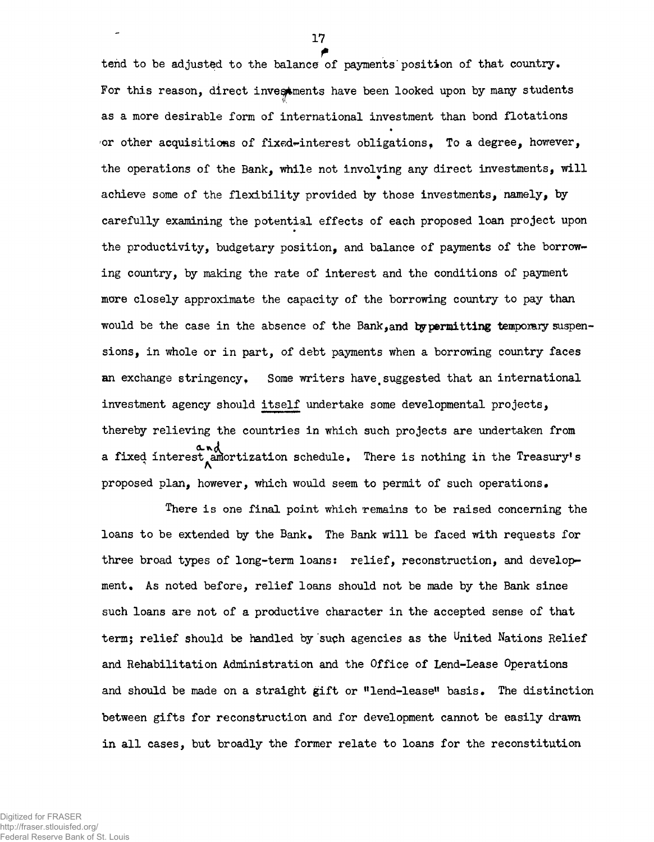f tend to be adjusted to the balance of payments'position of that country. For this reason, direct investments have been looked upon by many students as a more desirable form of international investment than bond flotations or other acquisitions of fixed-interest obligations. To a degree, however, the operations of the Bank, while not involving any direct investments, will achieve some of the flexibility provided by those investments, namely, by carefully examining the potential effects of each proposed loan project upon the productivity, budgetary position, and balance of payments of the borrowing country, by making the rate of interest and the conditions of payment more closely approximate the capacity of the borrowing country to pay than would be the case in the absence of the Bank, and by permitting temporary suspensions, in whole or in part, of debt payments when a borrowing country faces an exchange stringency. Some writers have suggested that an international investment agency should itself undertake some developmental projects, thereby relieving the countries in which such projects are undertaken from a fixed interest amortization schedule. There is nothing in the Treasury's proposed plan, however, which would seem to permit of such operations»

There is one final point which remains to be raised concerning the loans to be extended by the Bank. The Bank will be faced with requests for three broad types of long-term loans: relief, reconstruction, and development. As noted before, relief loans should not be made by the Bank since such loans are not of a productive character in the accepted sense of that term; relief should be handled by such agencies as the United Nations Relief and Rehabilitation Administration and the Office of Lend-Lease Operations and should be made on a straight gift or "lend-lease" basis. The distinction between gifts for reconstruction and for development cannot be easily drawn in all cases, but broadly the former relate to loans for the reconstitution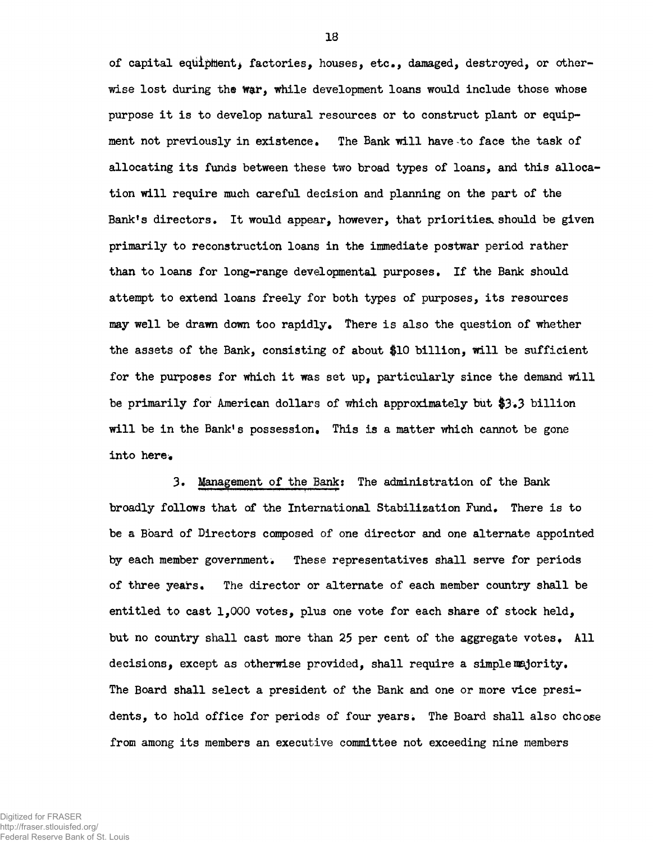of capital equipment, factories, houses, etc., damaged, destroyed, or otherwise lost during the war, while development loans would include those whose purpose it is to develop natural resources or to construct plant or equipment not previously in existence. The Bank will have to face the task of allocating its funds between these two broad types of loans, and this allocation will require much careful decision and planning on the part of the Bank's directors. It would appear, however, that priorities should be given primarily to reconstruction loans in the immediate postwar period rather than to loans for long-range developmental purposes. If the Bank should attempt to extend loans freely for both types of purposes, its resources may well be drawn down too rapidly. There is also the question of whether the assets of the Bank, consisting of about \$10 billion, Will be sufficient for the purposes for which it was set up, particularly since the demand will be primarily for American dollars of which approximately but  $$3.3$  billion will be in the Bank's possession. This is a matter which cannot be gone into here.

3. Management of the Bank: The administration of the Bank broadly follows that of the International Stabilization Fund. There is to be a Board of Directors composed of one director and one alternate appointed by each member government. These representatives shall serve for periods of three years. The director or alternate of each member country shall be entitled to cast 1,000 votes, plus one vote for each share of stock held, but no country shall cast more than 25 per cent of the aggregate votes. All decisions, except as otherwise provided, shall require a simple majority. The Board shall select a president of the Bank and one or more vice presidents, to hold office for periods of four years. The Board shall also choose from among its members an executive committee not exceeding nine members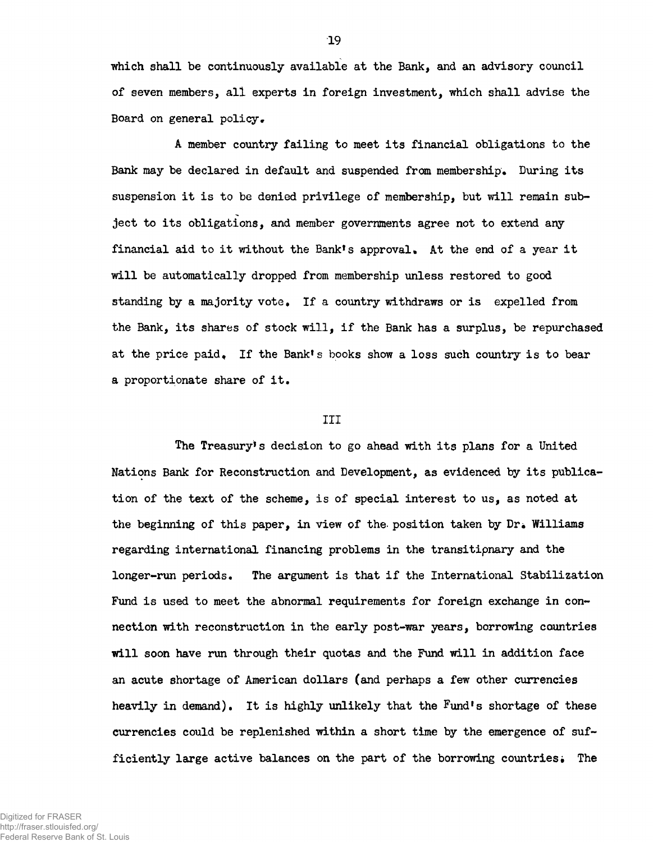which shall be continuously available at the Bank, and an advisory council of seven members, all experts in foreign investment, which shall advise the Board on general policy.

A member country failing to meet its financial obligations to the Bank may be declared in default and suspended from membership. During its suspension it is to be denied privilege of membership, but will remain subject to its obligations, and member governments agree not to extend any financial aid to it without the Bank's approval. At the end of a year it will be automatically dropped from membership unless restored to good standing by a majority vote. If a country withdraws or is expelled from the Bank, its shares of stock will, if the Bank has a surplus, be repurchased at the price paid. If the Bank's books show a loss such country is to bear a proportionate share of it.

## III

The Treasury's decision to go ahead with its plans for a United Nations Bank for Reconstruction and Development, as evidenced by its publication of the text of the scheme, is of special interest to us, as noted at the beginning of this paper, in view of the position taken by Dr. Williams regarding international financing problems in the transitipnary and the longer-run periods. The argument is that if the International Stabilization Fund is used to meet the abnormal requirements for foreign exchange in connection with reconstruction in the early post-war years, borrowing countries will soon have run through their quotas and the Fund will in addition face an acute shortage of American dollars (and perhaps a few other currencies heavily in demand). It is highly unlikely that the Fund's shortage of these currencies could be replenished within a short time by the emergence of sufficiently large active balances on the part of the borrowing countries. The

Digitized for FRASER http://fraser.stlouisfed.org/ Federal Reserve Bank of St. Louis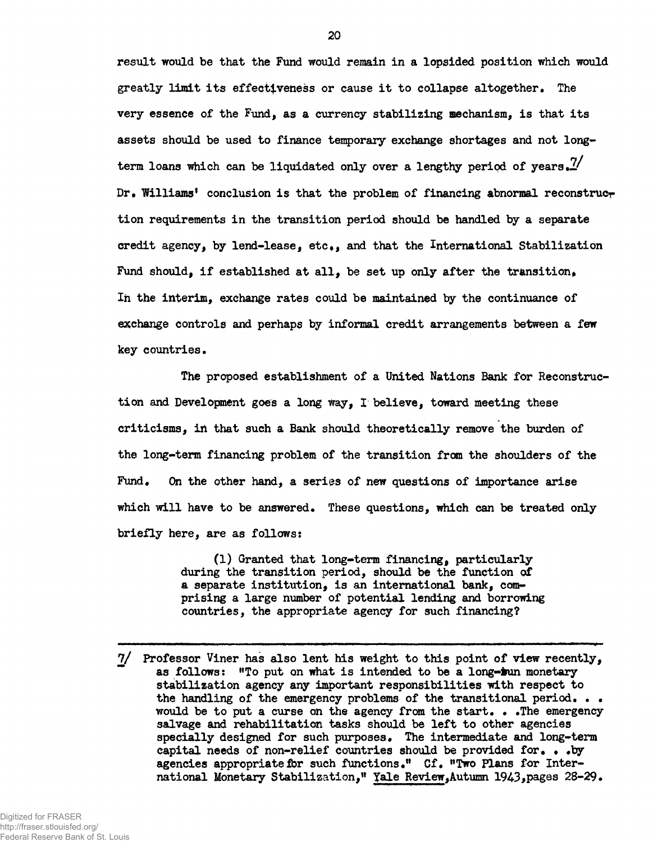**result would be that the Fund would remain in a lopsided position which would greatly limit its effectiveness or cause it to collapse altogether. The very essence of the Fund, as a currency stabilizing mechanism, is that its assets should be used to finance temporary exchange shortages and not long**term loans which can be liquidated only over a lengthy period of years.<sup>7</sup>/ Dr. Williams' conclusion is that the problem of financing abnormal reconstruct **tion requirements in the transition period should be handled by a separate credit agency, by lend-lease, etcf, and that the International Stabilization** Fund should, if established at all, be set up only after the transition, In the interim, exchange rates could be maintained by the continuance of **exchange controls and perhaps by informal credit arrangements between a few key countries.**

**The proposed establishment of a United Nations Bank for Reconstruction and Development goes a long way, I believe, toward meeting these** criticisms, in that such a Bank should theoretically remove the burden of **the long-term financing problem of the transition from the shoulders of the** Fund. On the other hand, a series of new questions of importance arise which will have to be answered. These questions, which can be treated only **briefly here, are as follows:**

> **(1) Granted that long-term financing, particularly during the transition period, should be the function of a separate institution, is an international bank, comprising a large number of potential lending and borrowing countries, the appropriate agency for such financing?**

**<sup>7/</sup> Professor Viner has also lent his weight to this point of view recently, ~ as follows: "To put on what is intended to be a long-iun monetary stabilization agency any important responsibilities with respect to the handling of the emergency problems of the transitional period. . • would be to put a curse on the agency from the start. • .The emergency salvage and rehabilitation tasks should be left to other agencies specially designed for such purposes. The intermediate and long-term capital needs of non-relief countries should be provided for\* • #by** agencies appropriate for such functions." Cf. "Two Plans for Inter**national Monetary Stabilization," Yale Review,Autumn 1943>pages 28-29•**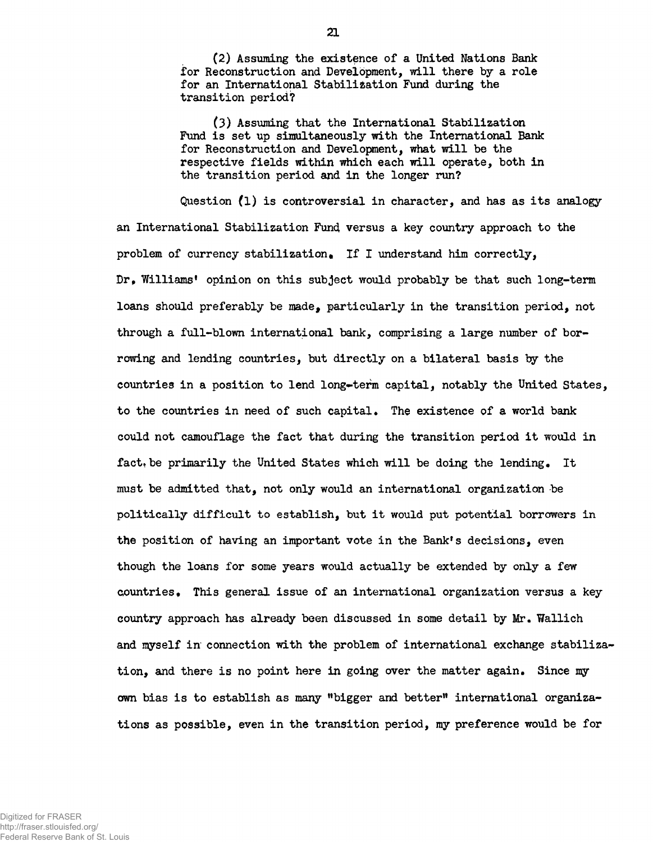(2) Assuming the existence of a United Nations Bank for Reconstruction and Development, will there by a role for an International Stabilisation Fund during the transition period?

(3) Assuming that the International Stabilization Fund is set up simultaneously with the International Bank for Reconstruction and Development, what will be the respective fields within which each will operate, both in the transition period and in the longer run?

Question (1) is controversial in character, and has as its analogy an International Stabilization Fund versus a key country approach to the problem of currency stabilization. If I understand him correctly, Dr, Williams' opinion on this subject would probably be that such long-term loans should preferably be made, particularly in the transition period, not through a full-blown international bank, comprising a large number of borrowing and lending countries, but directly on a bilateral basis hy the countries in a position to lend long-term capital, notably the United States, to the countries in need of such capital. The existence of a world bank could not camouflage the fact that during the transition period it would in fact, be primarily the United States which will be doing the lending. It must be admitted that, not only would an international organization be politically difficult to establish, but it would put potential borrowers in the position of having an important vote in the Bank's decisions, even though the loans for some years would actually be extended by only a few countries. This general issue of an international organization versus a key country approach has already been discussed in some detail by Mr. Wallich and myself in connection with the problem of international exchange stabilization, and there is no point here in going over the matter again. Since my own bias is to establish as many "bigger and better" international organizations as possible, even in the transition period, my preference would be for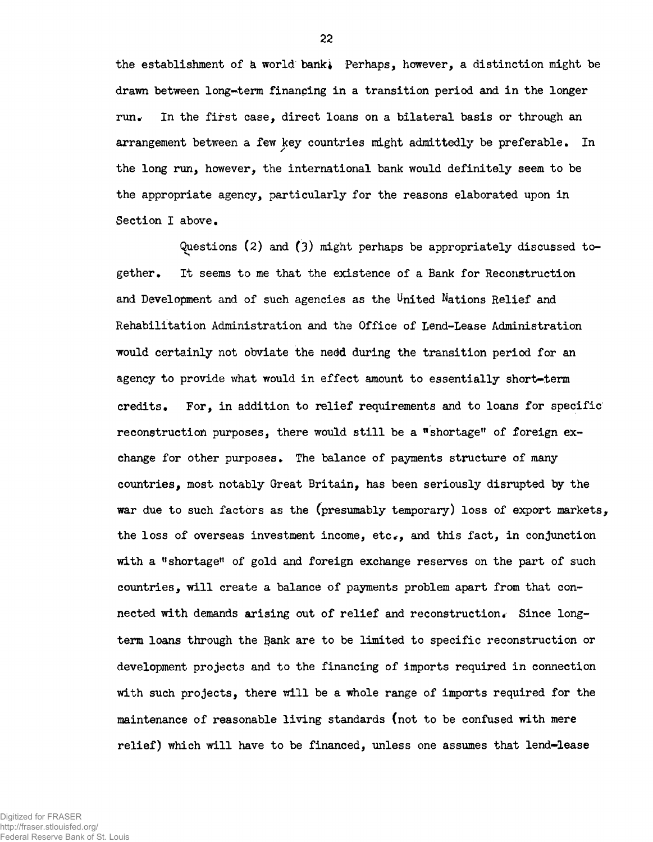the establishment of a world bank, Perhaps, however, a distinction might be drawn between long-term finanping in a transition period and in the longer run. In the first case, direct loans on a bilateral basis or through an arrangement between a few key countries might admittedly be preferable. In the long run, however, the international bank would definitely seem to be the appropriate agency, particularly for the reasons elaborated upon in Section I above.

Questions (2) and (3) might perhaps be appropriately discussed together. It seems to me that the existence of a Bank for Reconstruction and Development and of such agencies as the United Nations Relief and Rehabilitation Administration and the Office of Lend-Lease Administration would certainly not obviate the nedd during the transition period for an agency to provide what would in effect amount to essentially short-term credits. For, in addition to relief requirements and to loans for specific reconstruction purposes, there would still be a "shortage" of foreign exchange for other purposes. The balance of payments structure of many countries, most notably Great Britain, has been seriously disrupted by the war due to such factors as the (presumably temporary) loss of export markets, the loss of overseas investment income, etc., and this fact, in conjunction with a "shortage" of gold and foreign exchange reserves on the part of such countries, will create a balance of payments problem apart from that connected with demands arising out of relief and reconstruction« Since longterm loans through the Bank are to be limited to specific reconstruction or development projects and to the financing of imports required in connection with such projects, there will be a whole range of imports required for the maintenance of reasonable living standards (not to be confused with mere relief) which will have to be financed, unless one assumes that lend-lease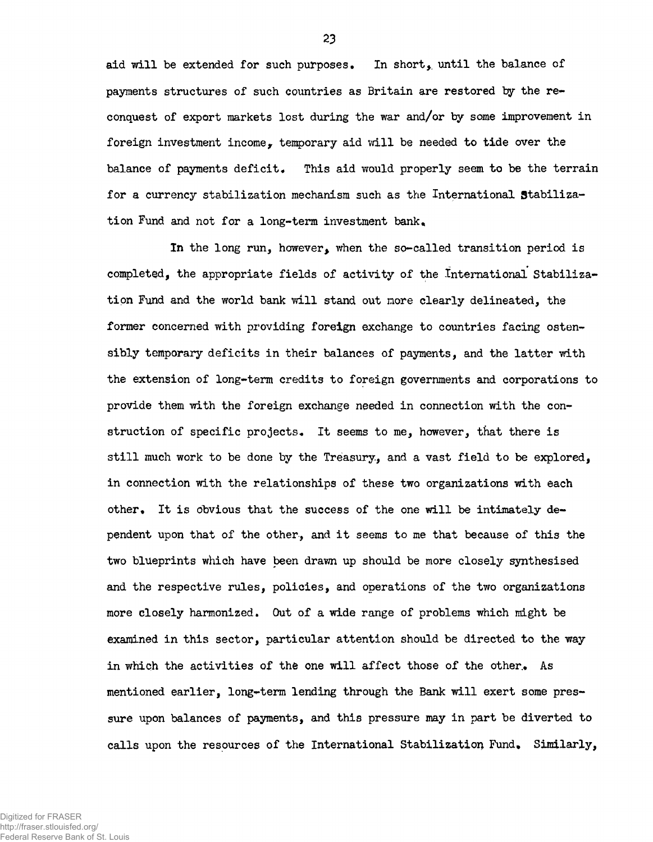aid will be extended for such purposes. In short, until the balance of payments structures of such countries as Britain are restored by the reconquest of export markets lost during the war and/or by some improvement in foreign investment income, temporary aid will be needed to tide over the balance of payments deficit. This aid would properly seem to be the terrain for a currency stabilization mechanism such as the International Stabilization Fund and not for a long-term investment bank.

In the long run, however, when the so-called transition period is completed, the appropriate fields of activity of the international Stabilization Fund and the world bank will stand out more clearly delineated, the former concerned with providing foreign exchange to countries facing ostensibly temporary deficits in their balances of payments, and the latter with the extension of long-term credits to foreign governments and corporations to provide them with the foreign exchange needed in connection with the construction of specific projects. It seems to me, however, that there is still much work to be done by the Treasury, and a vast field to be explored, in connection with the relationships of these two organizations with each other. It is obvious that the success of the one will be intimately dependent upon that of the other, and it seems to me that because of this the two blueprints which have been drawn up should be more closely synthesised and the respective rules, policies, and operations of the two organizations more closely harmonized. Out of a wide range of problems which might be examined in this sector, particular attention should be directed to the way in which the activities of the one will affect those of the other. As mentioned earlier, long-term lending through the Bank will exert some pressure upon balances of payments, and this pressure may in part be diverted to calls upon the resources of the International Stabilization Fund, Similarly,